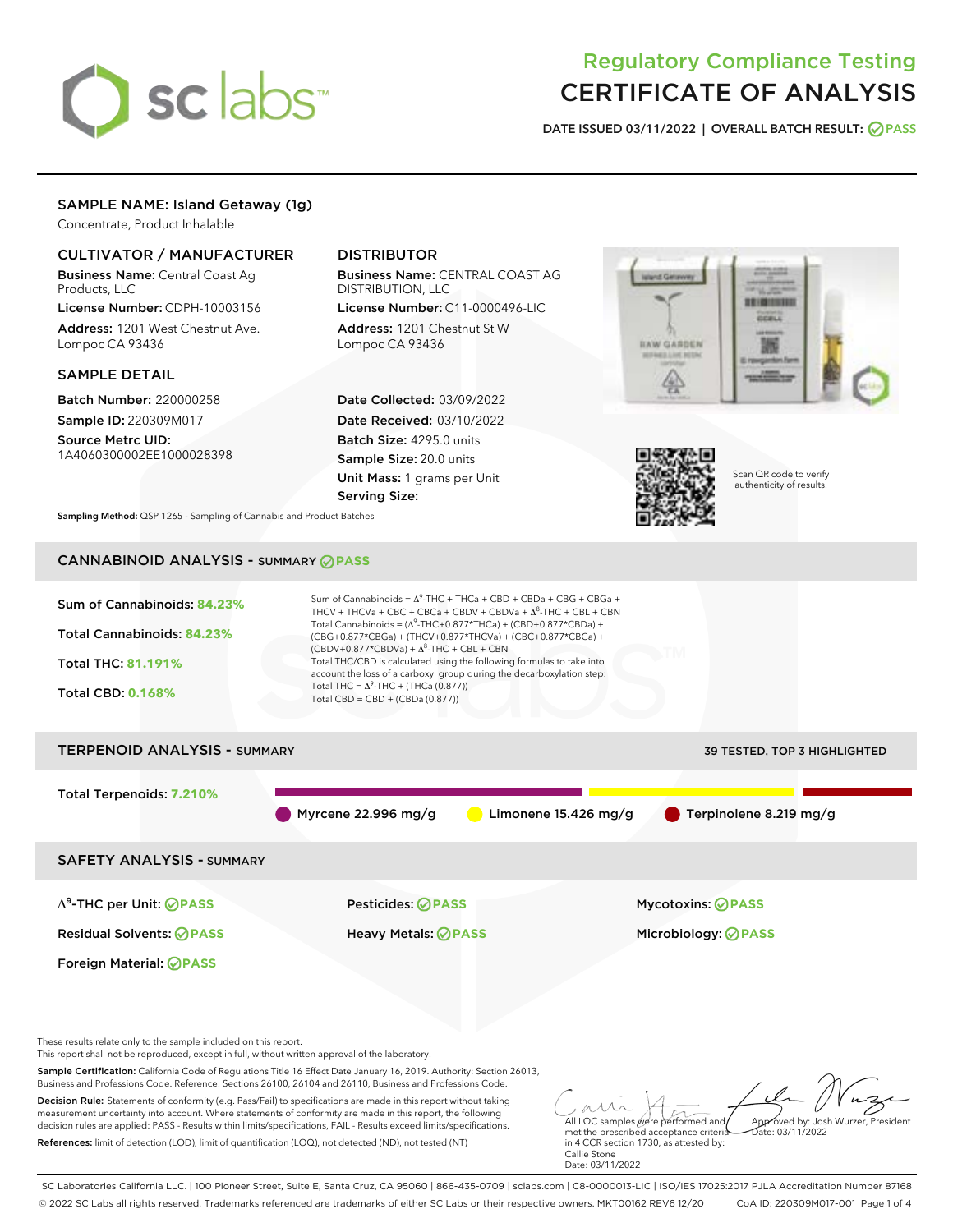

# Regulatory Compliance Testing CERTIFICATE OF ANALYSIS

DATE ISSUED 03/11/2022 | OVERALL BATCH RESULT: @ PASS

# SAMPLE NAME: Island Getaway (1g)

Concentrate, Product Inhalable

# CULTIVATOR / MANUFACTURER

Business Name: Central Coast Ag Products, LLC

License Number: CDPH-10003156 Address: 1201 West Chestnut Ave. Lompoc CA 93436

### SAMPLE DETAIL

Batch Number: 220000258 Sample ID: 220309M017

Source Metrc UID: 1A4060300002EE1000028398

# DISTRIBUTOR

Business Name: CENTRAL COAST AG DISTRIBUTION, LLC

License Number: C11-0000496-LIC Address: 1201 Chestnut St W Lompoc CA 93436

Date Collected: 03/09/2022 Date Received: 03/10/2022 Batch Size: 4295.0 units Sample Size: 20.0 units Unit Mass: 1 grams per Unit Serving Size:





Scan QR code to verify authenticity of results.

Sampling Method: QSP 1265 - Sampling of Cannabis and Product Batches

# CANNABINOID ANALYSIS - SUMMARY **PASS**



SC Laboratories California LLC. | 100 Pioneer Street, Suite E, Santa Cruz, CA 95060 | 866-435-0709 | sclabs.com | C8-0000013-LIC | ISO/IES 17025:2017 PJLA Accreditation Number 87168 © 2022 SC Labs all rights reserved. Trademarks referenced are trademarks of either SC Labs or their respective owners. MKT00162 REV6 12/20 CoA ID: 220309M017-001 Page 1 of 4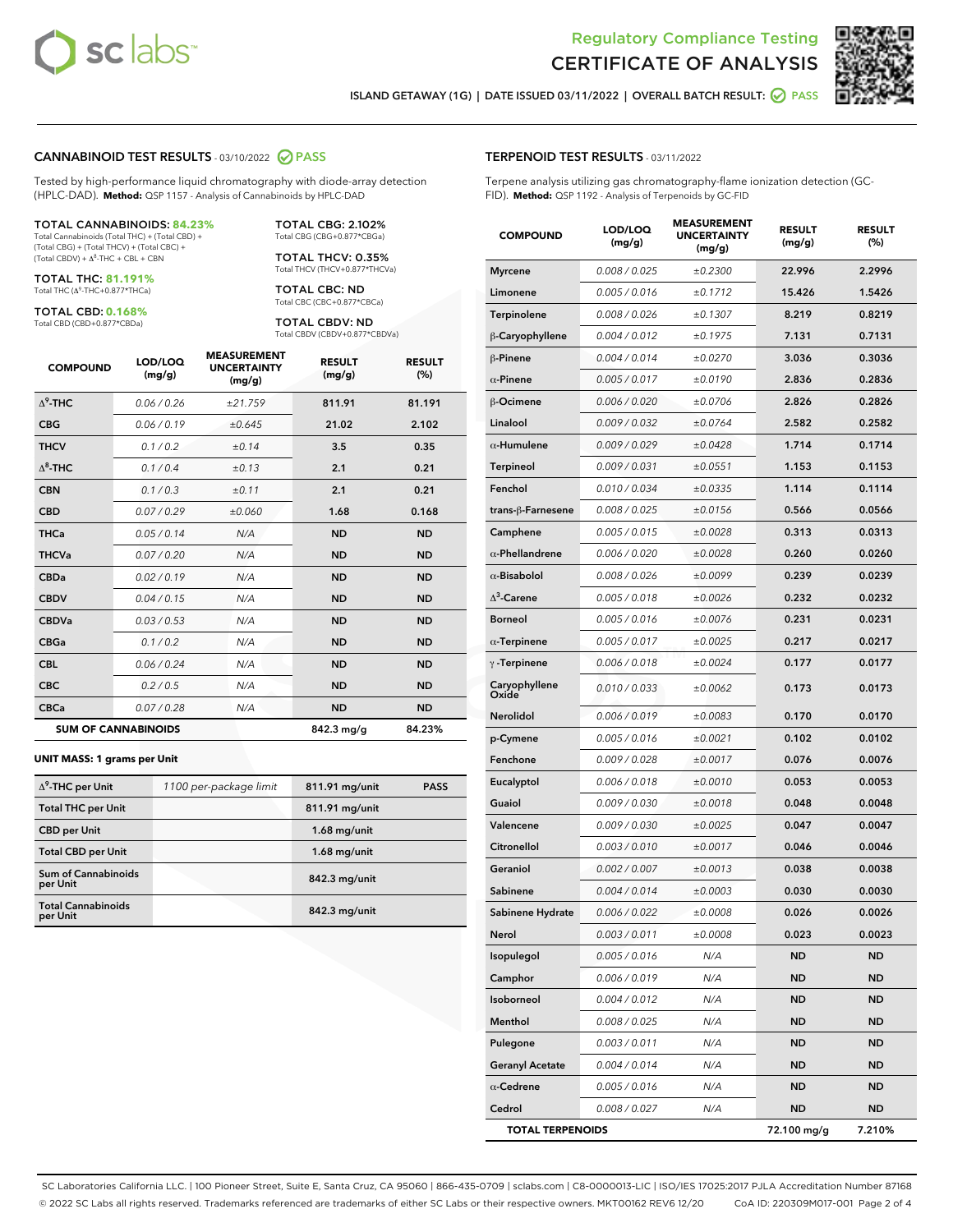



ISLAND GETAWAY (1G) | DATE ISSUED 03/11/2022 | OVERALL BATCH RESULT: @ PASS

### CANNABINOID TEST RESULTS - 03/10/2022 2 PASS

Tested by high-performance liquid chromatography with diode-array detection (HPLC-DAD). **Method:** QSP 1157 - Analysis of Cannabinoids by HPLC-DAD

#### TOTAL CANNABINOIDS: **84.23%**

Total Cannabinoids (Total THC) + (Total CBD) + (Total CBG) + (Total THCV) + (Total CBC) +  $(Total CBDV) +  $\Delta^8$ -THC + CBL + CBN$ 

TOTAL THC: **81.191%** Total THC (Δ<sup>9</sup> -THC+0.877\*THCa)

TOTAL CBD: **0.168%**

Total CBD (CBD+0.877\*CBDa)

TOTAL CBG: 2.102% Total CBG (CBG+0.877\*CBGa)

TOTAL THCV: 0.35% Total THCV (THCV+0.877\*THCVa)

TOTAL CBC: ND Total CBC (CBC+0.877\*CBCa)

TOTAL CBDV: ND Total CBDV (CBDV+0.877\*CBDVa)

| <b>COMPOUND</b>  | LOD/LOQ<br>(mg/g)          | <b>MEASUREMENT</b><br><b>UNCERTAINTY</b><br>(mg/g) | <b>RESULT</b><br>(mg/g) | <b>RESULT</b><br>(%) |
|------------------|----------------------------|----------------------------------------------------|-------------------------|----------------------|
| $\Lambda^9$ -THC | 0.06 / 0.26                | ±21.759                                            | 811.91                  | 81.191               |
| <b>CBG</b>       | 0.06/0.19                  | ±0.645                                             | 21.02                   | 2.102                |
| <b>THCV</b>      | 0.1 / 0.2                  | ±0.14                                              | 3.5                     | 0.35                 |
| $\Lambda^8$ -THC | 0.1/0.4                    | ±0.13                                              | 2.1                     | 0.21                 |
| <b>CBN</b>       | 0.1 / 0.3                  | ±0.11                                              | 2.1                     | 0.21                 |
| <b>CBD</b>       | 0.07/0.29                  | ±0.060                                             | 1.68                    | 0.168                |
| <b>THCa</b>      | 0.05/0.14                  | N/A                                                | <b>ND</b>               | <b>ND</b>            |
| <b>THCVa</b>     | 0.07 / 0.20                | N/A                                                | <b>ND</b>               | <b>ND</b>            |
| <b>CBDa</b>      | 0.02/0.19                  | N/A                                                | <b>ND</b>               | <b>ND</b>            |
| <b>CBDV</b>      | 0.04 / 0.15                | N/A                                                | <b>ND</b>               | <b>ND</b>            |
| <b>CBDVa</b>     | 0.03/0.53                  | N/A                                                | <b>ND</b>               | <b>ND</b>            |
| <b>CBGa</b>      | 0.1 / 0.2                  | N/A                                                | <b>ND</b>               | <b>ND</b>            |
| <b>CBL</b>       | 0.06 / 0.24                | N/A                                                | <b>ND</b>               | <b>ND</b>            |
| <b>CBC</b>       | 0.2 / 0.5                  | N/A                                                | <b>ND</b>               | <b>ND</b>            |
| <b>CBCa</b>      | 0.07/0.28                  | N/A                                                | <b>ND</b>               | <b>ND</b>            |
|                  | <b>SUM OF CANNABINOIDS</b> |                                                    | 842.3 mg/g              | 84.23%               |

#### **UNIT MASS: 1 grams per Unit**

| $\Delta^9$ -THC per Unit              | 1100 per-package limit | 811.91 mg/unit | <b>PASS</b> |
|---------------------------------------|------------------------|----------------|-------------|
| <b>Total THC per Unit</b>             |                        | 811.91 mg/unit |             |
| <b>CBD</b> per Unit                   |                        | $1.68$ mg/unit |             |
| <b>Total CBD per Unit</b>             |                        | $1.68$ mg/unit |             |
| Sum of Cannabinoids<br>per Unit       |                        | 842.3 mg/unit  |             |
| <b>Total Cannabinoids</b><br>per Unit |                        | 842.3 mg/unit  |             |

#### TERPENOID TEST RESULTS - 03/11/2022

Terpene analysis utilizing gas chromatography-flame ionization detection (GC-FID). **Method:** QSP 1192 - Analysis of Terpenoids by GC-FID

| <b>COMPOUND</b>         | LOD/LOQ<br>(mg/g) | <b>MEASUREMENT</b><br><b>UNCERTAINTY</b><br>(mg/g) | <b>RESULT</b><br>(mg/g) | <b>RESULT</b><br>(%) |
|-------------------------|-------------------|----------------------------------------------------|-------------------------|----------------------|
| <b>Myrcene</b>          | 0.008 / 0.025     | ±0.2300                                            | 22.996                  | 2.2996               |
| Limonene                | 0.005 / 0.016     | ±0.1712                                            | 15.426                  | 1.5426               |
| Terpinolene             | 0.008 / 0.026     | ±0.1307                                            | 8.219                   | 0.8219               |
| β-Caryophyllene         | 0.004 / 0.012     | ±0.1975                                            | 7.131                   | 0.7131               |
| β-Pinene                | 0.004 / 0.014     | ±0.0270                                            | 3.036                   | 0.3036               |
| $\alpha$ -Pinene        | 0.005 / 0.017     | ±0.0190                                            | 2.836                   | 0.2836               |
| <b>B-Ocimene</b>        | 0.006 / 0.020     | ±0.0706                                            | 2.826                   | 0.2826               |
| Linalool                | 0.009 / 0.032     | ±0.0764                                            | 2.582                   | 0.2582               |
| $\alpha$ -Humulene      | 0.009 / 0.029     | ±0.0428                                            | 1.714                   | 0.1714               |
| Terpineol               | 0.009 / 0.031     | ±0.0551                                            | 1.153                   | 0.1153               |
| Fenchol                 | 0.010 / 0.034     | ±0.0335                                            | 1.114                   | 0.1114               |
| trans-ß-Farnesene       | 0.008 / 0.025     | ±0.0156                                            | 0.566                   | 0.0566               |
| Camphene                | 0.005 / 0.015     | ±0.0028                                            | 0.313                   | 0.0313               |
| $\alpha$ -Phellandrene  | 0.006 / 0.020     | ±0.0028                                            | 0.260                   | 0.0260               |
| $\alpha$ -Bisabolol     | 0.008 / 0.026     | ±0.0099                                            | 0.239                   | 0.0239               |
| $\Delta^3$ -Carene      | 0.005 / 0.018     | ±0.0026                                            | 0.232                   | 0.0232               |
| <b>Borneol</b>          | 0.005 / 0.016     | ±0.0076                                            | 0.231                   | 0.0231               |
| $\alpha$ -Terpinene     | 0.005 / 0.017     | ±0.0025                                            | 0.217                   | 0.0217               |
| $\gamma$ -Terpinene     | 0.006 / 0.018     | ±0.0024                                            | 0.177                   | 0.0177               |
| Caryophyllene<br>Oxide  | 0.010 / 0.033     | ±0.0062                                            | 0.173                   | 0.0173               |
| Nerolidol               | 0.006 / 0.019     | ±0.0083                                            | 0.170                   | 0.0170               |
| p-Cymene                | 0.005 / 0.016     | ±0.0021                                            | 0.102                   | 0.0102               |
| Fenchone                | 0.009 / 0.028     | ±0.0017                                            | 0.076                   | 0.0076               |
| Eucalyptol              | 0.006 / 0.018     | ±0.0010                                            | 0.053                   | 0.0053               |
| Guaiol                  | 0.009 / 0.030     | ±0.0018                                            | 0.048                   | 0.0048               |
| Valencene               | 0.009 / 0.030     | ±0.0025                                            | 0.047                   | 0.0047               |
| Citronellol             | 0.003 / 0.010     | ±0.0017                                            | 0.046                   | 0.0046               |
| Geraniol                | 0.002 / 0.007     | ±0.0013                                            | 0.038                   | 0.0038               |
| Sabinene                | 0.004 / 0.014     | ±0.0003                                            | 0.030                   | 0.0030               |
| Sabinene Hydrate        | 0.006 / 0.022     | ±0.0008                                            | 0.026                   | 0.0026               |
| Nerol                   | 0.003 / 0.011     | ±0.0008                                            | 0.023                   | 0.0023               |
| Isopulegol              | 0.005 / 0.016     | N/A                                                | <b>ND</b>               | ND                   |
| Camphor                 | 0.006 / 0.019     | N/A                                                | <b>ND</b>               | <b>ND</b>            |
| Isoborneol              | 0.004 / 0.012     | N/A                                                | ND                      | ND                   |
| Menthol                 | 0.008 / 0.025     | N/A                                                | ND                      | ND                   |
| Pulegone                | 0.003 / 0.011     | N/A                                                | <b>ND</b>               | ND                   |
| <b>Geranyl Acetate</b>  | 0.004 / 0.014     | N/A                                                | ND                      | ND                   |
| $\alpha$ -Cedrene       | 0.005 / 0.016     | N/A                                                | <b>ND</b>               | ND                   |
| Cedrol                  | 0.008 / 0.027     | N/A                                                | <b>ND</b>               | <b>ND</b>            |
| <b>TOTAL TERPENOIDS</b> |                   |                                                    | 72.100 mg/g             | 7.210%               |

SC Laboratories California LLC. | 100 Pioneer Street, Suite E, Santa Cruz, CA 95060 | 866-435-0709 | sclabs.com | C8-0000013-LIC | ISO/IES 17025:2017 PJLA Accreditation Number 87168 © 2022 SC Labs all rights reserved. Trademarks referenced are trademarks of either SC Labs or their respective owners. MKT00162 REV6 12/20 CoA ID: 220309M017-001 Page 2 of 4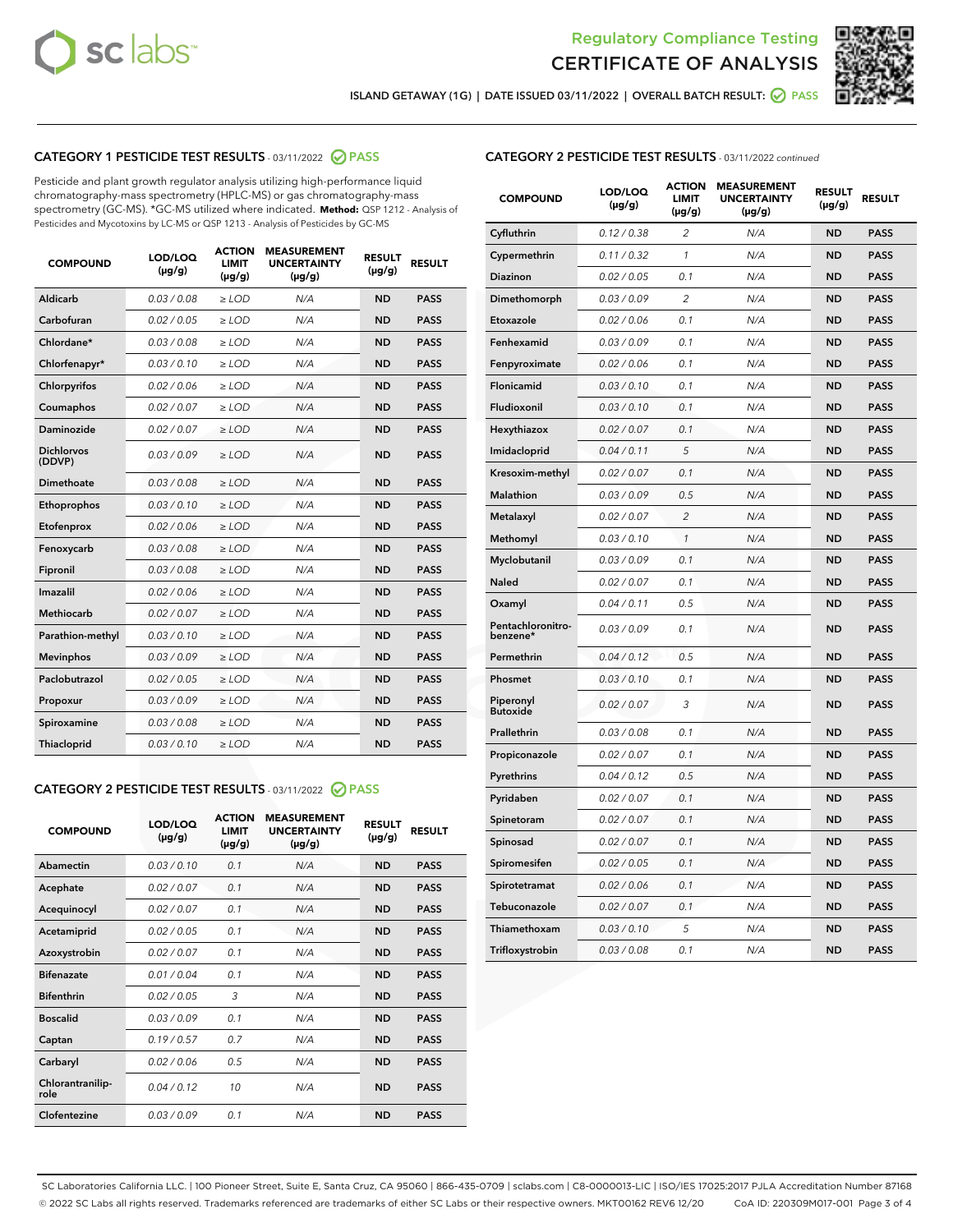



ISLAND GETAWAY (1G) | DATE ISSUED 03/11/2022 | OVERALL BATCH RESULT: Ø PASS

# CATEGORY 1 PESTICIDE TEST RESULTS - 03/11/2022 2 PASS

Pesticide and plant growth regulator analysis utilizing high-performance liquid chromatography-mass spectrometry (HPLC-MS) or gas chromatography-mass spectrometry (GC-MS). \*GC-MS utilized where indicated. **Method:** QSP 1212 - Analysis of Pesticides and Mycotoxins by LC-MS or QSP 1213 - Analysis of Pesticides by GC-MS

| Aldicarb<br>0.03 / 0.08<br>$\geq$ LOD<br>N/A<br><b>ND</b><br><b>PASS</b><br>Carbofuran<br>0.02 / 0.05<br>N/A<br><b>ND</b><br><b>PASS</b><br>$>$ LOD<br>Chlordane*<br>0.03/0.08<br>N/A<br><b>ND</b><br><b>PASS</b><br>$\ge$ LOD<br><b>PASS</b><br>Chlorfenapyr*<br>0.03/0.10<br>$\ge$ LOD<br>N/A<br><b>ND</b><br>0.02 / 0.06<br>Chlorpyrifos<br>$>$ LOD<br>N/A<br><b>ND</b><br><b>PASS</b><br>0.02 / 0.07<br>N/A<br>Coumaphos<br>$\ge$ LOD<br><b>ND</b><br><b>PASS</b><br><b>Daminozide</b><br>0.02 / 0.07<br><b>ND</b><br><b>PASS</b><br>$\ge$ LOD<br>N/A<br><b>Dichlorvos</b><br>0.03/0.09<br>N/A<br><b>ND</b><br><b>PASS</b><br>$\ge$ LOD<br>(DDVP)<br><b>Dimethoate</b><br>0.03 / 0.08<br>N/A<br><b>ND</b><br><b>PASS</b><br>$\ge$ LOD<br>0.03/0.10<br><b>ND</b><br><b>PASS</b><br>Ethoprophos<br>$\ge$ LOD<br>N/A<br>0.02 / 0.06<br><b>ND</b><br><b>PASS</b><br>Etofenprox<br>$\ge$ LOD<br>N/A<br>0.03/0.08<br>$>$ LOD<br>N/A<br><b>ND</b><br><b>PASS</b><br>Fenoxycarb<br>0.03 / 0.08<br>$\ge$ LOD<br>N/A<br><b>ND</b><br><b>PASS</b><br>Fipronil<br>Imazalil<br>0.02/0.06<br>$>$ LOD<br>N/A<br><b>ND</b><br><b>PASS</b><br><b>Methiocarb</b><br>0.02 / 0.07<br>$\ge$ LOD<br>N/A<br><b>ND</b><br><b>PASS</b><br>N/A<br>Parathion-methyl<br>0.03/0.10<br>$>$ LOD<br><b>ND</b><br><b>PASS</b><br>0.03/0.09<br>$\ge$ LOD<br>N/A<br><b>ND</b><br><b>PASS</b><br><b>Mevinphos</b><br>Paclobutrazol<br>0.02 / 0.05<br>$>$ LOD<br>N/A<br><b>ND</b><br><b>PASS</b><br>0.03/0.09<br>$\ge$ LOD<br>N/A<br><b>ND</b><br><b>PASS</b><br>Propoxur<br>0.03 / 0.08<br>N/A<br><b>ND</b><br>Spiroxamine<br>$\ge$ LOD<br><b>PASS</b><br>Thiacloprid<br>0.03/0.10<br>N/A<br><b>ND</b><br><b>PASS</b><br>$\ge$ LOD | <b>COMPOUND</b> | <b>LOD/LOQ</b><br>$(\mu g/g)$ | <b>ACTION</b><br>LIMIT<br>$(\mu g/g)$ | <b>MEASUREMENT</b><br><b>UNCERTAINTY</b><br>$(\mu g/g)$ | <b>RESULT</b><br>$(\mu g/g)$ | <b>RESULT</b> |
|----------------------------------------------------------------------------------------------------------------------------------------------------------------------------------------------------------------------------------------------------------------------------------------------------------------------------------------------------------------------------------------------------------------------------------------------------------------------------------------------------------------------------------------------------------------------------------------------------------------------------------------------------------------------------------------------------------------------------------------------------------------------------------------------------------------------------------------------------------------------------------------------------------------------------------------------------------------------------------------------------------------------------------------------------------------------------------------------------------------------------------------------------------------------------------------------------------------------------------------------------------------------------------------------------------------------------------------------------------------------------------------------------------------------------------------------------------------------------------------------------------------------------------------------------------------------------------------------------------------------------------------------------------------------------------------------------|-----------------|-------------------------------|---------------------------------------|---------------------------------------------------------|------------------------------|---------------|
|                                                                                                                                                                                                                                                                                                                                                                                                                                                                                                                                                                                                                                                                                                                                                                                                                                                                                                                                                                                                                                                                                                                                                                                                                                                                                                                                                                                                                                                                                                                                                                                                                                                                                                    |                 |                               |                                       |                                                         |                              |               |
|                                                                                                                                                                                                                                                                                                                                                                                                                                                                                                                                                                                                                                                                                                                                                                                                                                                                                                                                                                                                                                                                                                                                                                                                                                                                                                                                                                                                                                                                                                                                                                                                                                                                                                    |                 |                               |                                       |                                                         |                              |               |
|                                                                                                                                                                                                                                                                                                                                                                                                                                                                                                                                                                                                                                                                                                                                                                                                                                                                                                                                                                                                                                                                                                                                                                                                                                                                                                                                                                                                                                                                                                                                                                                                                                                                                                    |                 |                               |                                       |                                                         |                              |               |
|                                                                                                                                                                                                                                                                                                                                                                                                                                                                                                                                                                                                                                                                                                                                                                                                                                                                                                                                                                                                                                                                                                                                                                                                                                                                                                                                                                                                                                                                                                                                                                                                                                                                                                    |                 |                               |                                       |                                                         |                              |               |
|                                                                                                                                                                                                                                                                                                                                                                                                                                                                                                                                                                                                                                                                                                                                                                                                                                                                                                                                                                                                                                                                                                                                                                                                                                                                                                                                                                                                                                                                                                                                                                                                                                                                                                    |                 |                               |                                       |                                                         |                              |               |
|                                                                                                                                                                                                                                                                                                                                                                                                                                                                                                                                                                                                                                                                                                                                                                                                                                                                                                                                                                                                                                                                                                                                                                                                                                                                                                                                                                                                                                                                                                                                                                                                                                                                                                    |                 |                               |                                       |                                                         |                              |               |
|                                                                                                                                                                                                                                                                                                                                                                                                                                                                                                                                                                                                                                                                                                                                                                                                                                                                                                                                                                                                                                                                                                                                                                                                                                                                                                                                                                                                                                                                                                                                                                                                                                                                                                    |                 |                               |                                       |                                                         |                              |               |
|                                                                                                                                                                                                                                                                                                                                                                                                                                                                                                                                                                                                                                                                                                                                                                                                                                                                                                                                                                                                                                                                                                                                                                                                                                                                                                                                                                                                                                                                                                                                                                                                                                                                                                    |                 |                               |                                       |                                                         |                              |               |
|                                                                                                                                                                                                                                                                                                                                                                                                                                                                                                                                                                                                                                                                                                                                                                                                                                                                                                                                                                                                                                                                                                                                                                                                                                                                                                                                                                                                                                                                                                                                                                                                                                                                                                    |                 |                               |                                       |                                                         |                              |               |
|                                                                                                                                                                                                                                                                                                                                                                                                                                                                                                                                                                                                                                                                                                                                                                                                                                                                                                                                                                                                                                                                                                                                                                                                                                                                                                                                                                                                                                                                                                                                                                                                                                                                                                    |                 |                               |                                       |                                                         |                              |               |
|                                                                                                                                                                                                                                                                                                                                                                                                                                                                                                                                                                                                                                                                                                                                                                                                                                                                                                                                                                                                                                                                                                                                                                                                                                                                                                                                                                                                                                                                                                                                                                                                                                                                                                    |                 |                               |                                       |                                                         |                              |               |
|                                                                                                                                                                                                                                                                                                                                                                                                                                                                                                                                                                                                                                                                                                                                                                                                                                                                                                                                                                                                                                                                                                                                                                                                                                                                                                                                                                                                                                                                                                                                                                                                                                                                                                    |                 |                               |                                       |                                                         |                              |               |
|                                                                                                                                                                                                                                                                                                                                                                                                                                                                                                                                                                                                                                                                                                                                                                                                                                                                                                                                                                                                                                                                                                                                                                                                                                                                                                                                                                                                                                                                                                                                                                                                                                                                                                    |                 |                               |                                       |                                                         |                              |               |
|                                                                                                                                                                                                                                                                                                                                                                                                                                                                                                                                                                                                                                                                                                                                                                                                                                                                                                                                                                                                                                                                                                                                                                                                                                                                                                                                                                                                                                                                                                                                                                                                                                                                                                    |                 |                               |                                       |                                                         |                              |               |
|                                                                                                                                                                                                                                                                                                                                                                                                                                                                                                                                                                                                                                                                                                                                                                                                                                                                                                                                                                                                                                                                                                                                                                                                                                                                                                                                                                                                                                                                                                                                                                                                                                                                                                    |                 |                               |                                       |                                                         |                              |               |
|                                                                                                                                                                                                                                                                                                                                                                                                                                                                                                                                                                                                                                                                                                                                                                                                                                                                                                                                                                                                                                                                                                                                                                                                                                                                                                                                                                                                                                                                                                                                                                                                                                                                                                    |                 |                               |                                       |                                                         |                              |               |
|                                                                                                                                                                                                                                                                                                                                                                                                                                                                                                                                                                                                                                                                                                                                                                                                                                                                                                                                                                                                                                                                                                                                                                                                                                                                                                                                                                                                                                                                                                                                                                                                                                                                                                    |                 |                               |                                       |                                                         |                              |               |
|                                                                                                                                                                                                                                                                                                                                                                                                                                                                                                                                                                                                                                                                                                                                                                                                                                                                                                                                                                                                                                                                                                                                                                                                                                                                                                                                                                                                                                                                                                                                                                                                                                                                                                    |                 |                               |                                       |                                                         |                              |               |
|                                                                                                                                                                                                                                                                                                                                                                                                                                                                                                                                                                                                                                                                                                                                                                                                                                                                                                                                                                                                                                                                                                                                                                                                                                                                                                                                                                                                                                                                                                                                                                                                                                                                                                    |                 |                               |                                       |                                                         |                              |               |
|                                                                                                                                                                                                                                                                                                                                                                                                                                                                                                                                                                                                                                                                                                                                                                                                                                                                                                                                                                                                                                                                                                                                                                                                                                                                                                                                                                                                                                                                                                                                                                                                                                                                                                    |                 |                               |                                       |                                                         |                              |               |
|                                                                                                                                                                                                                                                                                                                                                                                                                                                                                                                                                                                                                                                                                                                                                                                                                                                                                                                                                                                                                                                                                                                                                                                                                                                                                                                                                                                                                                                                                                                                                                                                                                                                                                    |                 |                               |                                       |                                                         |                              |               |

# CATEGORY 2 PESTICIDE TEST RESULTS - 03/11/2022 @ PASS

| <b>COMPOUND</b>          | LOD/LOO<br>$(\mu g/g)$ | <b>ACTION</b><br><b>LIMIT</b><br>$(\mu g/g)$ | <b>MEASUREMENT</b><br><b>UNCERTAINTY</b><br>$(\mu g/g)$ | <b>RESULT</b><br>$(\mu g/g)$ | <b>RESULT</b> |
|--------------------------|------------------------|----------------------------------------------|---------------------------------------------------------|------------------------------|---------------|
| Abamectin                | 0.03/0.10              | 0.1                                          | N/A                                                     | <b>ND</b>                    | <b>PASS</b>   |
| Acephate                 | 0.02/0.07              | 0.1                                          | N/A                                                     | <b>ND</b>                    | <b>PASS</b>   |
| Acequinocyl              | 0.02/0.07              | 0.1                                          | N/A                                                     | <b>ND</b>                    | <b>PASS</b>   |
| Acetamiprid              | 0.02/0.05              | 0.1                                          | N/A                                                     | <b>ND</b>                    | <b>PASS</b>   |
| Azoxystrobin             | 0.02/0.07              | 0.1                                          | N/A                                                     | <b>ND</b>                    | <b>PASS</b>   |
| <b>Bifenazate</b>        | 0.01 / 0.04            | 0.1                                          | N/A                                                     | <b>ND</b>                    | <b>PASS</b>   |
| <b>Bifenthrin</b>        | 0.02/0.05              | 3                                            | N/A                                                     | <b>ND</b>                    | <b>PASS</b>   |
| <b>Boscalid</b>          | 0.03/0.09              | 0.1                                          | N/A                                                     | <b>ND</b>                    | <b>PASS</b>   |
| Captan                   | 0.19/0.57              | 0.7                                          | N/A                                                     | <b>ND</b>                    | <b>PASS</b>   |
| Carbaryl                 | 0.02/0.06              | 0.5                                          | N/A                                                     | <b>ND</b>                    | <b>PASS</b>   |
| Chlorantranilip-<br>role | 0.04/0.12              | 10                                           | N/A                                                     | <b>ND</b>                    | <b>PASS</b>   |
| Clofentezine             | 0.03/0.09              | 0 <sub>1</sub>                               | N/A                                                     | <b>ND</b>                    | <b>PASS</b>   |

# CATEGORY 2 PESTICIDE TEST RESULTS - 03/11/2022 continued

| <b>COMPOUND</b>               | LOD/LOQ<br>(µg/g) | <b>ACTION</b><br>LIMIT<br>$(\mu g/g)$ | <b>MEASUREMENT</b><br><b>UNCERTAINTY</b><br>$(\mu g/g)$ | <b>RESULT</b><br>(µg/g) | <b>RESULT</b> |
|-------------------------------|-------------------|---------------------------------------|---------------------------------------------------------|-------------------------|---------------|
| Cyfluthrin                    | 0.12 / 0.38       | $\overline{c}$                        | N/A                                                     | <b>ND</b>               | <b>PASS</b>   |
| Cypermethrin                  | 0.11 / 0.32       | 1                                     | N/A                                                     | <b>ND</b>               | <b>PASS</b>   |
| <b>Diazinon</b>               | 0.02 / 0.05       | 0.1                                   | N/A                                                     | <b>ND</b>               | <b>PASS</b>   |
| Dimethomorph                  | 0.03 / 0.09       | $\overline{2}$                        | N/A                                                     | <b>ND</b>               | <b>PASS</b>   |
| Etoxazole                     | 0.02 / 0.06       | 0.1                                   | N/A                                                     | <b>ND</b>               | <b>PASS</b>   |
| Fenhexamid                    | 0.03 / 0.09       | 0.1                                   | N/A                                                     | <b>ND</b>               | <b>PASS</b>   |
| Fenpyroximate                 | 0.02 / 0.06       | 0.1                                   | N/A                                                     | <b>ND</b>               | <b>PASS</b>   |
| <b>Flonicamid</b>             | 0.03 / 0.10       | 0.1                                   | N/A                                                     | <b>ND</b>               | <b>PASS</b>   |
| Fludioxonil                   | 0.03 / 0.10       | 0.1                                   | N/A                                                     | <b>ND</b>               | <b>PASS</b>   |
| Hexythiazox                   | 0.02 / 0.07       | 0.1                                   | N/A                                                     | <b>ND</b>               | <b>PASS</b>   |
| Imidacloprid                  | 0.04 / 0.11       | 5                                     | N/A                                                     | <b>ND</b>               | <b>PASS</b>   |
| Kresoxim-methyl               | 0.02 / 0.07       | 0.1                                   | N/A                                                     | <b>ND</b>               | <b>PASS</b>   |
| Malathion                     | 0.03 / 0.09       | 0.5                                   | N/A                                                     | <b>ND</b>               | <b>PASS</b>   |
| Metalaxyl                     | 0.02 / 0.07       | $\overline{c}$                        | N/A                                                     | <b>ND</b>               | <b>PASS</b>   |
| Methomyl                      | 0.03 / 0.10       | $\mathcal{I}$                         | N/A                                                     | <b>ND</b>               | <b>PASS</b>   |
| Myclobutanil                  | 0.03 / 0.09       | 0.1                                   | N/A                                                     | <b>ND</b>               | <b>PASS</b>   |
| Naled                         | 0.02 / 0.07       | 0.1                                   | N/A                                                     | <b>ND</b>               | <b>PASS</b>   |
| Oxamyl                        | 0.04 / 0.11       | 0.5                                   | N/A                                                     | <b>ND</b>               | <b>PASS</b>   |
| Pentachloronitro-<br>benzene* | 0.03 / 0.09       | 0.1                                   | N/A                                                     | <b>ND</b>               | <b>PASS</b>   |
| Permethrin                    | 0.04 / 0.12       | 0.5                                   | N/A                                                     | <b>ND</b>               | <b>PASS</b>   |
| Phosmet                       | 0.03 / 0.10       | 0.1                                   | N/A                                                     | <b>ND</b>               | <b>PASS</b>   |
| Piperonyl<br><b>Butoxide</b>  | 0.02 / 0.07       | 3                                     | N/A                                                     | <b>ND</b>               | <b>PASS</b>   |
| Prallethrin                   | 0.03 / 0.08       | 0.1                                   | N/A                                                     | <b>ND</b>               | <b>PASS</b>   |
| Propiconazole                 | 0.02 / 0.07       | 0.1                                   | N/A                                                     | <b>ND</b>               | <b>PASS</b>   |
| Pyrethrins                    | 0.04 / 0.12       | 0.5                                   | N/A                                                     | <b>ND</b>               | <b>PASS</b>   |
| Pyridaben                     | 0.02 / 0.07       | 0.1                                   | N/A                                                     | <b>ND</b>               | <b>PASS</b>   |
| Spinetoram                    | 0.02 / 0.07       | 0.1                                   | N/A                                                     | ND                      | PASS          |
| Spinosad                      | 0.02 / 0.07       | 0.1                                   | N/A                                                     | <b>ND</b>               | <b>PASS</b>   |
| Spiromesifen                  | 0.02 / 0.05       | 0.1                                   | N/A                                                     | <b>ND</b>               | <b>PASS</b>   |
| Spirotetramat                 | 0.02 / 0.06       | 0.1                                   | N/A                                                     | <b>ND</b>               | <b>PASS</b>   |
| Tebuconazole                  | 0.02 / 0.07       | 0.1                                   | N/A                                                     | <b>ND</b>               | <b>PASS</b>   |
| Thiamethoxam                  | 0.03 / 0.10       | 5                                     | N/A                                                     | ND                      | <b>PASS</b>   |
| Trifloxystrobin               | 0.03 / 0.08       | 0.1                                   | N/A                                                     | ND                      | <b>PASS</b>   |

SC Laboratories California LLC. | 100 Pioneer Street, Suite E, Santa Cruz, CA 95060 | 866-435-0709 | sclabs.com | C8-0000013-LIC | ISO/IES 17025:2017 PJLA Accreditation Number 87168 © 2022 SC Labs all rights reserved. Trademarks referenced are trademarks of either SC Labs or their respective owners. MKT00162 REV6 12/20 CoA ID: 220309M017-001 Page 3 of 4